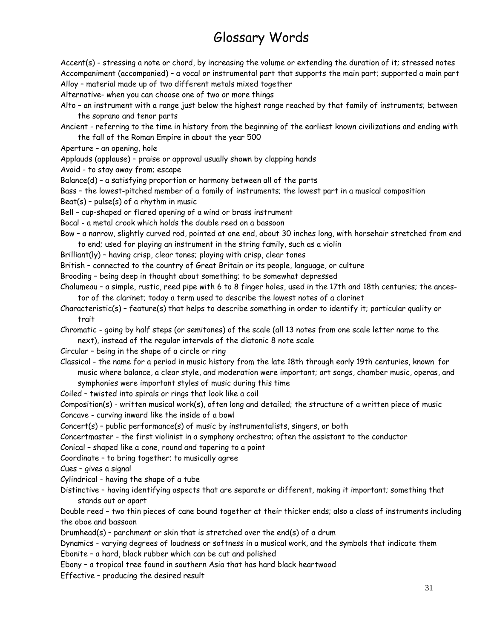## Glossary Words

Accent(s) - stressing a note or chord, by increasing the volume or extending the duration of it; stressed notes Accompaniment (accompanied) – a vocal or instrumental part that supports the main part; supported a main part Alloy – material made up of two different metals mixed together

Alternative- when you can choose one of two or more things

Alto – an instrument with a range just below the highest range reached by that family of instruments; between the soprano and tenor parts

Ancient - referring to the time in history from the beginning of the earliest known civilizations and ending with the fall of the Roman Empire in about the year 500

Aperture – an opening, hole

Applauds (applause) – praise or approval usually shown by clapping hands

Avoid - to stay away from; escape

Balance(d) – a satisfying proportion or harmony between all of the parts

Bass – the lowest-pitched member of a family of instruments; the lowest part in a musical composition

 $\text{Beat}(s)$  - pulse(s) of a rhythm in music

Bell – cup-shaped or flared opening of a wind or brass instrument

Bocal - a metal crook which holds the double reed on a bassoon

Bow – a narrow, slightly curved rod, pointed at one end, about 30 inches long, with horsehair stretched from end to end; used for playing an instrument in the string family, such as a violin

Brilliant(ly) – having crisp, clear tones; playing with crisp, clear tones

British – connected to the country of Great Britain or its people, language, or culture

Brooding – being deep in thought about something; to be somewhat depressed

Chalumeau – a simple, rustic, reed pipe with 6 to 8 finger holes, used in the 17th and 18th centuries; the ancestor of the clarinet; today a term used to describe the lowest notes of a clarinet

Characteristic(s) – feature(s) that helps to describe something in order to identify it; particular quality or trait

Chromatic - going by half steps (or semitones) of the scale (all 13 notes from one scale letter name to the next), instead of the regular intervals of the diatonic 8 note scale

- Circular being in the shape of a circle or ring
- Classical the name for a period in music history from the late 18th through early 19th centuries, known for music where balance, a clear style, and moderation were important; art songs, chamber music, operas, and symphonies were important styles of music during this time
- Coiled twisted into spirals or rings that look like a coil

Composition(s) - written musical work(s), often long and detailed; the structure of a written piece of music Concave - curving inward like the inside of a bowl

Concert(s) – public performance(s) of music by instrumentalists, singers, or both

Concertmaster - the first violinist in a symphony orchestra; often the assistant to the conductor

Conical – shaped like a cone, round and tapering to a point

Coordinate – to bring together; to musically agree

Cues – gives a signal

Cylindrical - having the shape of a tube

Distinctive – having identifying aspects that are separate or different, making it important; something that stands out or apart

Double reed – two thin pieces of cane bound together at their thicker ends; also a class of instruments including the oboe and bassoon

Drumhead(s) – parchment or skin that is stretched over the end(s) of a drum

Dynamics - varying degrees of loudness or softness in a musical work, and the symbols that indicate them Ebonite – a hard, black rubber which can be cut and polished

Ebony – a tropical tree found in southern Asia that has hard black heartwood

Effective – producing the desired result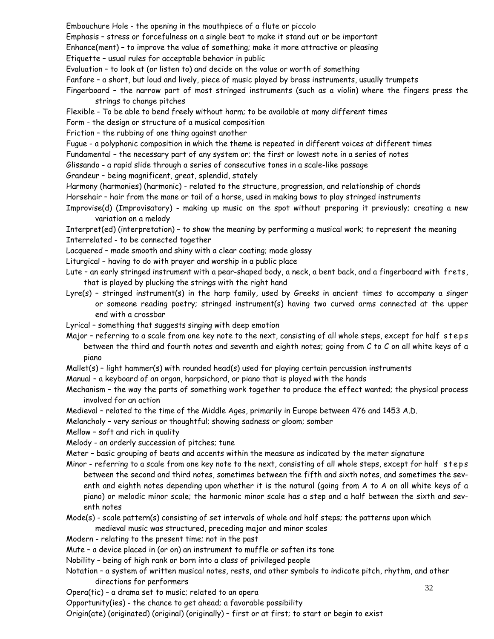Embouchure Hole - the opening in the mouthpiece of a flute or piccolo

Emphasis – stress or forcefulness on a single beat to make it stand out or be important

Enhance(ment) – to improve the value of something; make it more attractive or pleasing

Etiquette – usual rules for acceptable behavior in public

Evaluation – to look at (or listen to) and decide on the value or worth of something

Fanfare – a short, but loud and lively, piece of music played by brass instruments, usually trumpets

- Fingerboard the narrow part of most stringed instruments (such as a violin) where the fingers press the strings to change pitches
- Flexible To be able to bend freely without harm; to be available at many different times

Form - the design or structure of a musical composition

Friction – the rubbing of one thing against another

Fugue - a polyphonic composition in which the theme is repeated in different voices at different times

Fundamental – the necessary part of any system or; the first or lowest note in a series of notes

Glissando - a rapid slide through a series of consecutive tones in a scale-like passage

Grandeur – being magnificent, great, splendid, stately

- Harmony (harmonies) (harmonic) related to the structure, progression, and relationship of chords
- Horsehair hair from the mane or tail of a horse, used in making bows to play stringed instruments
- Improvise(d) (Improvisatory) making up music on the spot without preparing it previously; creating a new variation on a melody

Interpret(ed) (interpretation) – to show the meaning by performing a musical work; to represent the meaning Interrelated - to be connected together

Lacquered – made smooth and shiny with a clear coating; made glossy

Liturgical – having to do with prayer and worship in a public place

- Lute an early stringed instrument with a pear-shaped body, a neck, a bent back, and a fingerboard with frets, that is played by plucking the strings with the right hand
- Lyre(s) stringed instrument(s) in the harp family, used by Greeks in ancient times to accompany a singer or someone reading poetry; stringed instrument(s) having two curved arms connected at the upper end with a crossbar
- Lyrical something that suggests singing with deep emotion
- Major referring to a scale from one key note to the next, consisting of all whole steps, except for half steps between the third and fourth notes and seventh and eighth notes; going from C to C on all white keys of a piano

Mallet(s) – light hammer(s) with rounded head(s) used for playing certain percussion instruments

- Manual a keyboard of an organ, harpsichord, or piano that is played with the hands
- Mechanism the way the parts of something work together to produce the effect wanted; the physical process involved for an action
- Medieval related to the time of the Middle Ages, primarily in Europe between 476 and 1453 A.D.

Melancholy – very serious or thoughtful; showing sadness or gloom; somber

Mellow – soft and rich in quality

Melody - an orderly succession of pitches; tune

- Meter basic grouping of beats and accents within the measure as indicated by the meter signature
- Minor referring to a scale from one key note to the next, consisting of all whole steps, except for half steps between the second and third notes, sometimes between the fifth and sixth notes, and sometimes the seventh and eighth notes depending upon whether it is the natural (going from A to A on all white keys of a piano) or melodic minor scale; the harmonic minor scale has a step and a half between the sixth and seventh notes
- Mode(s) scale pattern(s) consisting of set intervals of whole and half steps; the patterns upon which

medieval music was structured, preceding major and minor scales

Modern - relating to the present time; not in the past

Mute – a device placed in (or on) an instrument to muffle or soften its tone

Nobility – being of high rank or born into a class of privileged people

- Notation a system of written musical notes, rests, and other symbols to indicate pitch, rhythm, and other directions for performers
- Opera(tic) a drama set to music; related to an opera

Opportunity(ies) - the chance to get ahead; a favorable possibility

Origin(ate) (originated) (original) (originally) – first or at first; to start or begin to exist